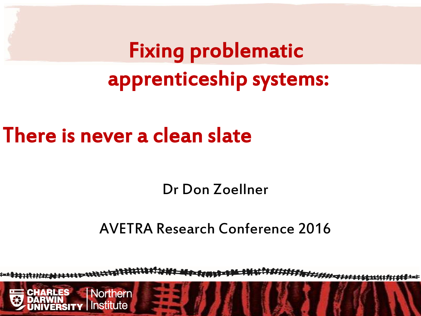# There is never a clean slate

nstitute

Dr Don Zoellner

AVETRA Research Conference 2016

H########### ad service **Northern**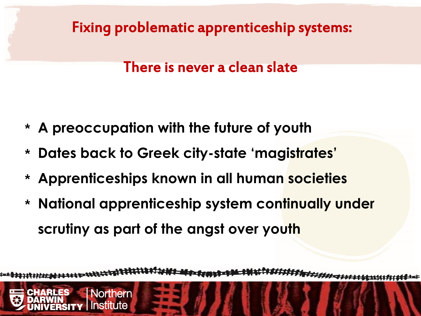

#### There is never a clean slate

- \* **A preoccupation with the future of youth**
- \* **Dates back to Greek city-state 'magistrates'**
- \* **Apprenticeships known in all human societies**
- \* **National apprenticeship system continually under scrutiny as part of the angst over youth**

**Northern** istitute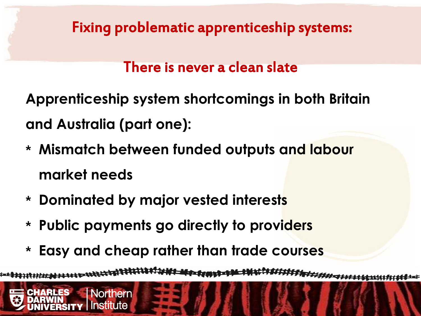## There is never a clean slate

**Apprenticeship system shortcomings in both Britain and Australia (part one):**

- \* **Mismatch between funded outputs and labour market needs**
- \* **Dominated by major vested interests**

**Northern** 

istitute

- \* **Public payments go directly to providers**
- \* **Easy and cheap rather than trade courses**

F#### **ALC** AND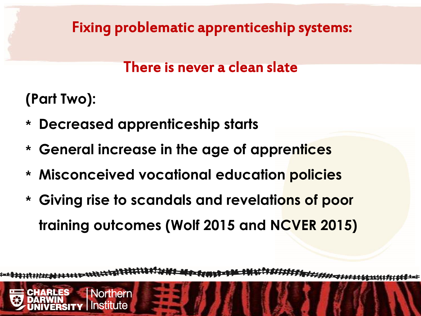## There is never a clean slate

**(Part Two):**

\* **Decreased apprenticeship starts**

**Northern** 

ıstitute

- \* **General increase in the age of apprentices**
- \* **Misconceived vocational education policies**
- \* **Giving rise to scandals and revelations of poor training outcomes (Wolf 2015 and NCVER 2015)**

H######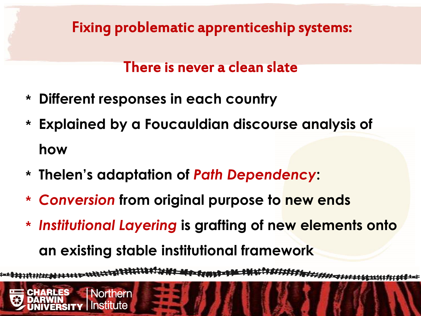### There is never a clean slate

\* **Different responses in each country**

**Northern** 

istitute

- \* **Explained by a Foucauldian discourse analysis of how**
- \* **Thelen's adaptation of** *Path Dependency***:**
- \* *Conversion* **from original purpose to new ends**
- \* *Institutional Layering* **is grafting of new elements onto an existing stable institutional framework**

**PERSONAL PROPERTY**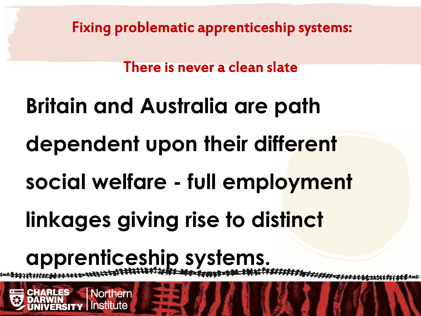There is never a clean slate

# **Britain and Australia are path dependent upon their different social welfare - full employment**

**linkages giving rise to distinct** 

# **apprenticeship systems.**

Northern

nstitute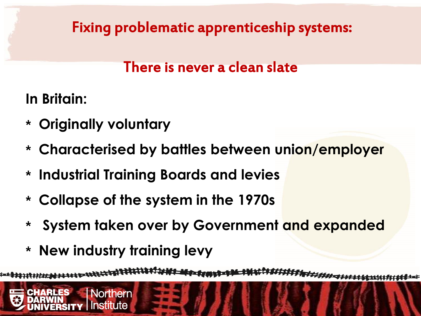# There is never a clean slate

**In Britain:**

- \* **Originally voluntary**
- \* **Characterised by battles between union/employer**
- \* **Industrial Training Boards and levies**
- \* **Collapse of the system in the 1970s**
- \* **System taken over by Government and expanded**
- \* **New industry training levy**

**Northern** 

nstitute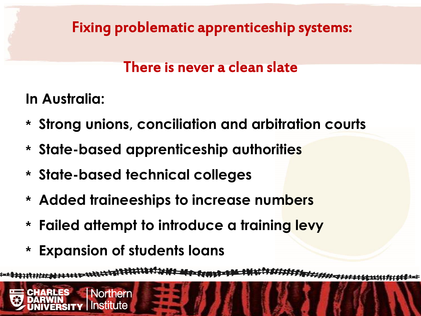# There is never a clean slate

**In Australia:**

- \* **Strong unions, conciliation and arbitration courts**
- \* **State-based apprenticeship authorities**
- \* **State-based technical colleges**
- \* **Added traineeships to increase numbers**
- \* **Failed attempt to introduce a training levy**
- \* **Expansion of students loans**

**Northern** 

**istitute** 

**REACHING COMPANY** F####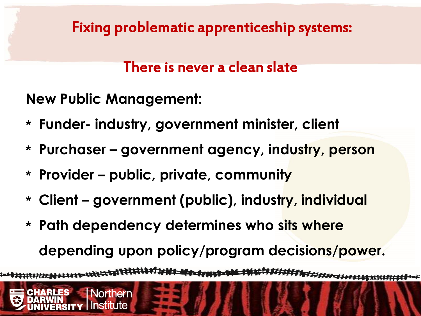#### There is never a clean slate

**New Public Management:**

**Northern** 

- \* **Funder- industry, government minister, client**
- \* **Purchaser – government agency, industry, person**
- \* **Provider – public, private, community**
- \* **Client – government (public), industry, individual**
- \* **Path dependency determines who sits where depending upon policy/program decisions/power.**

<del>₩₩₩₩₩₩₩₩₩₩</del> **Freisenstell**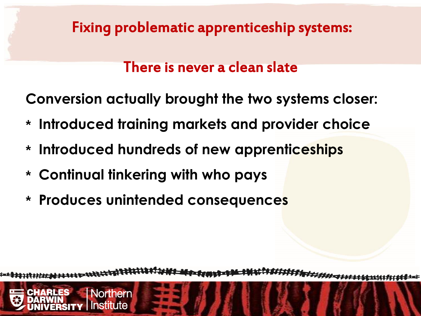### There is never a clean slate

**Conversion actually brought the two systems closer:**

- \* **Introduced training markets and provider choice**
- \* **Introduced hundreds of new apprenticeships**
- \* **Continual tinkering with who pays**

**Northern** 

ıstitute

\* **Produces unintended consequences**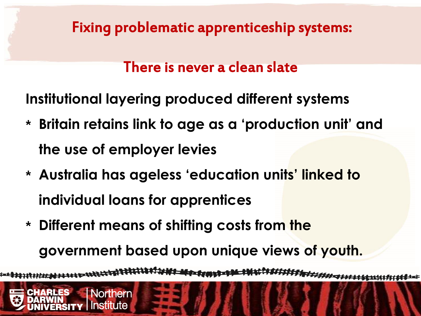### There is never a clean slate

**Institutional layering produced different systems**

- \* **Britain retains link to age as a 'production unit' and the use of employer levies**
- \* **Australia has ageless 'education units' linked to individual loans for apprentices**
- \* **Different means of shifting costs from the government based upon unique views of youth.**

**Northern** 

ıstitute

**STATE OF BUILDING** F*FF#########*##